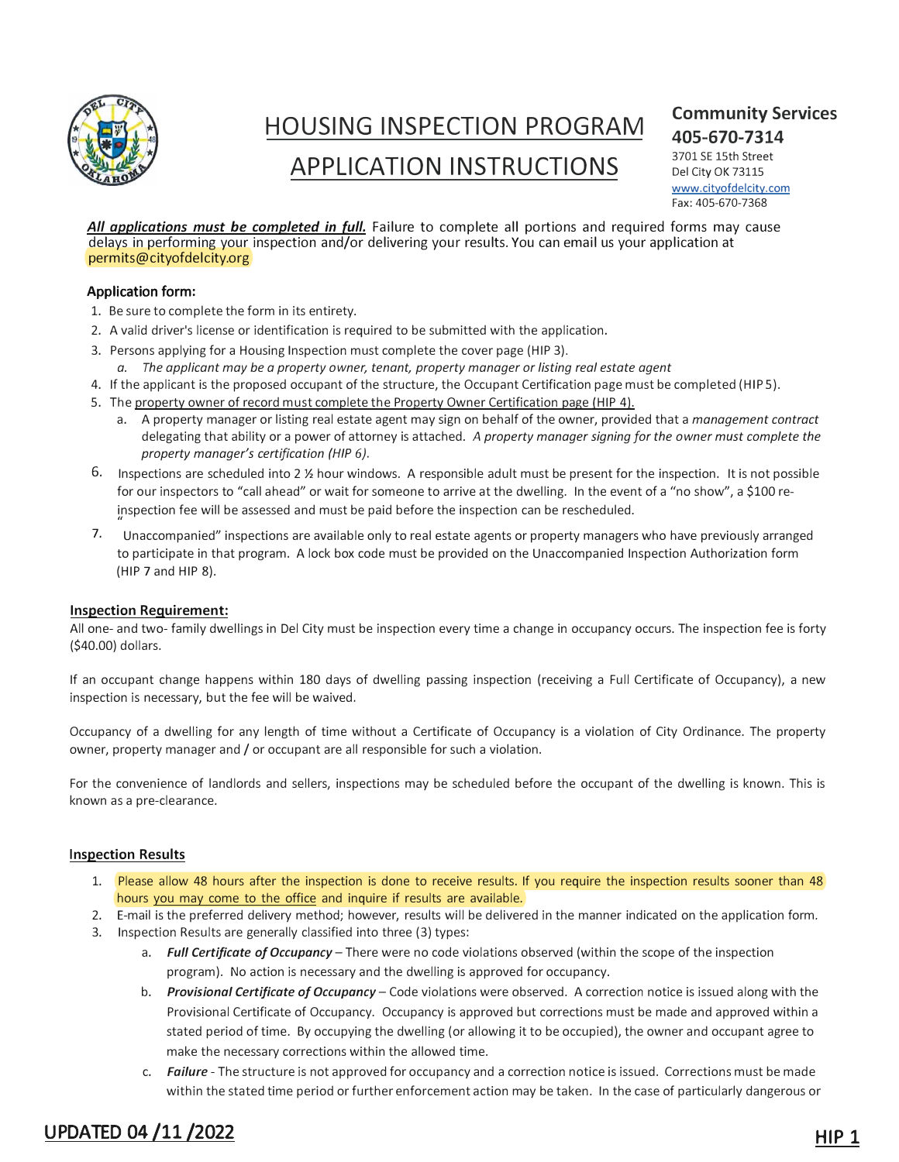

## **HOUSING INSPECTION PROGRAM APPLICATION INSTRUCTIONS**

### **Community Services 405-670-7314**

3701 SE 15th Street Del City OK 73115 www.cityofdelcity.com Fax:405-670-7368

*All applications must be completed in full.* Failure to complete all portions and required forms may cause delays in performing your inspection and/or delivering your results. You can email us your application at permits@cityofdelcity.org

#### **A**pplication form**:**

- 1. Be sure to complete the form in its entirety.
- 2. A valid driver's license or identification is required to be submitted with the application.
- 3. Persons applying for a Housing Inspection must complete the cover page (HIP 3).
	- *a. The applicant may be a property owner, tenant, property manager or listing real estate agent*
- 4. If the applicant is the proposed occupant of the structure, the Occupant Certification page must be completed (HIP 5).
- 5. The property owner of record must complete the Property Owner Certification page (HIP 4).
	- a. A property manager or listing real estate agent may sign on behalf of the owner, provided that a *management contract* delegating that ability or a power of attorney is attached. *A property manager signing for the owner must complete the property manager's certification (HIP 6).*
- 6. Inspections are scheduled into 2 ½ hour windows. A responsible adult must be present for the inspection. It is not possible for our inspectors to "call ahead" or wait for someone to arrive at the dwelling. In the event of a "no show", a \$100 reinspection fee will be assessed and must be paid before the inspection can be rescheduled.
- 7. 11 Unaccompanied" inspections are available only to real estate agents or property managers who have previously arranged to participate in that program. A lock box code must be provided on the Unaccompanied Inspection Authorization form (HIP 7 and HIP 8).

#### **Inspection Requirement:**

All one- and two- family dwellings in Del City must be inspection every time a change in occupancy occurs. The inspection fee is forty (\$40.00) dollars.

If an occupant change happens within 180 days of dwelling passing inspection (receiving a Full Certificate of Occupancy), a new inspection is necessary, but the fee will be waived.

Occupancy of a dwelling for any length of time without a Certificate of Occupancy is a violation of City Ordinance. The property owner, property manager and/ or occupant are all responsible for such a violation.

For the convenience of landlords and sellers, inspections may be scheduled before the occupant of the dwelling is known. This is known as a pre-clearance.

#### **Inspection Results**

- 1. Please allow 48 hours after the inspection is done to receive results. If you require the inspection results sooner than 48 hours you may come to the office and inquire if results are available.
- 2. E-mail is the preferred delivery method; however, results will be delivered in the manner indicated on the application form. 3. Inspection Results are generally classified into three (3) types:
	- a. *Full Certificate of Occupancy-* There were no code violations observed (within the scope of the inspection program). No action is necessary and the dwelling is approved for occupancy.
	- b. *Provisional Certificate of Occupancy-* Code violations were observed. A correction notice is issued along with the Provisional Certificate of Occupancy. Occupancy is approved but corrections must be made and approved within a stated period of time. By occupying the dwelling (or allowing it to be occupied), the owner and occupant agree to make the necessary corrections within the allowed time.
	- c. *Failure*  The structure is not approved for occupancy and a correction notice is issued. Corrections must be made within the stated time period or further enforcement action may be taken. In the case of particularly dangerous or

## UPDATED 04 /11 /2022 HIP 1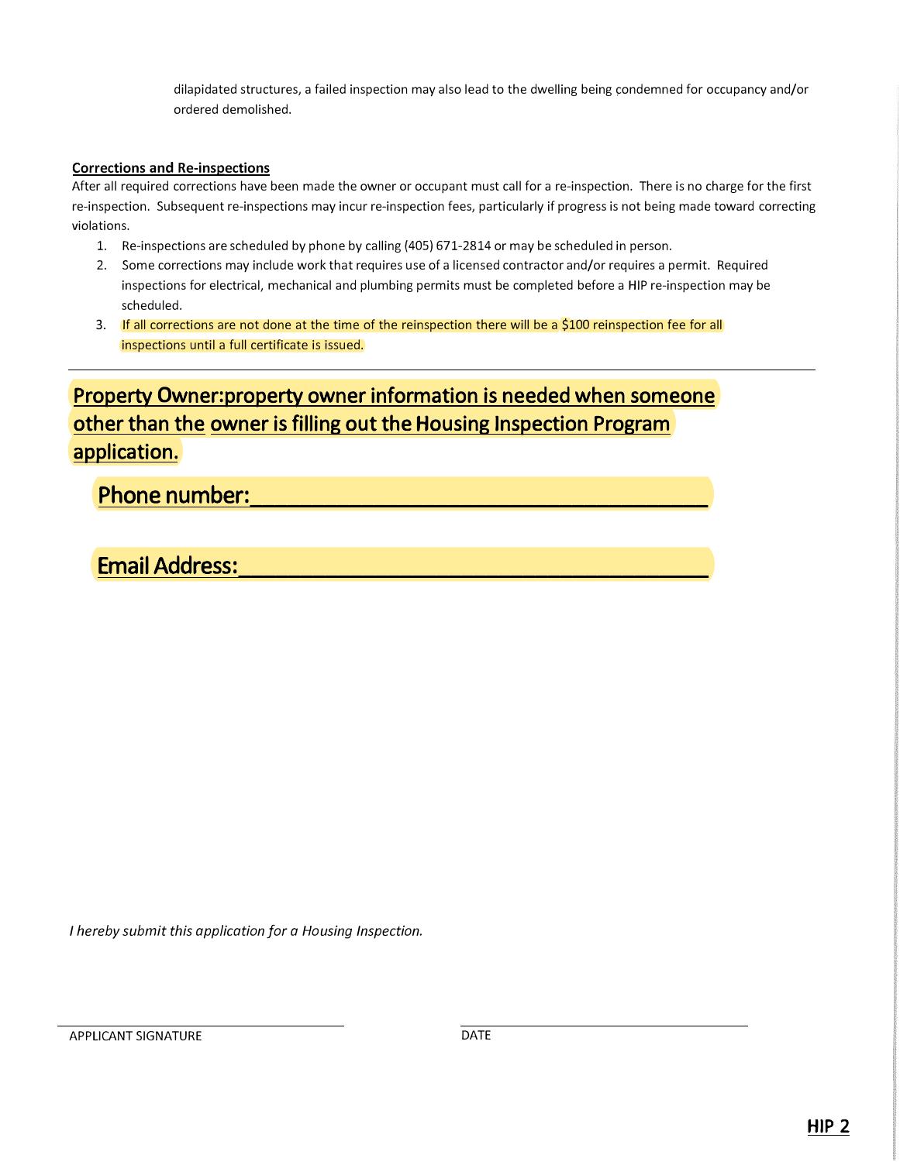dilapidated structures, a failed inspection may also lead to the dwelling being condemned for occupancy and/or ordered demolished.

#### **Corrections and Re-inspections**

After all required corrections have been made the owner or occupant must call for a re-inspection. There is no charge for the first re-inspection. Subsequent re-inspections may incur re-inspection fees, particularly if progress is not being made toward correcting violations.

- 1. Re-inspections are scheduled by phone by calling (405) 671-2814 or may be scheduled in person.
- 2. Some corrections may include work that requires use of a licensed contractor and/or requires a permit. Required inspections for electrical, mechanical and plumbing permits must be completed before a HIP re-inspection may be scheduled.
- 3. If all corrections are not done at the time of the reinspection there will be a \$100 reinspection fee for all inspections until a full certificate is issued.

## Property **O**wner**:**property owner information is needed when someone other than the owner is filling out the Housing Inspection Program application.

### Phone number:

### Email Address**:\_\_\_\_\_\_\_\_\_\_\_\_\_\_\_\_\_\_\_\_\_\_\_\_\_\_\_\_\_\_\_\_\_\_\_\_\_\_**

*I hereby submit this application for a Housing Inspection.*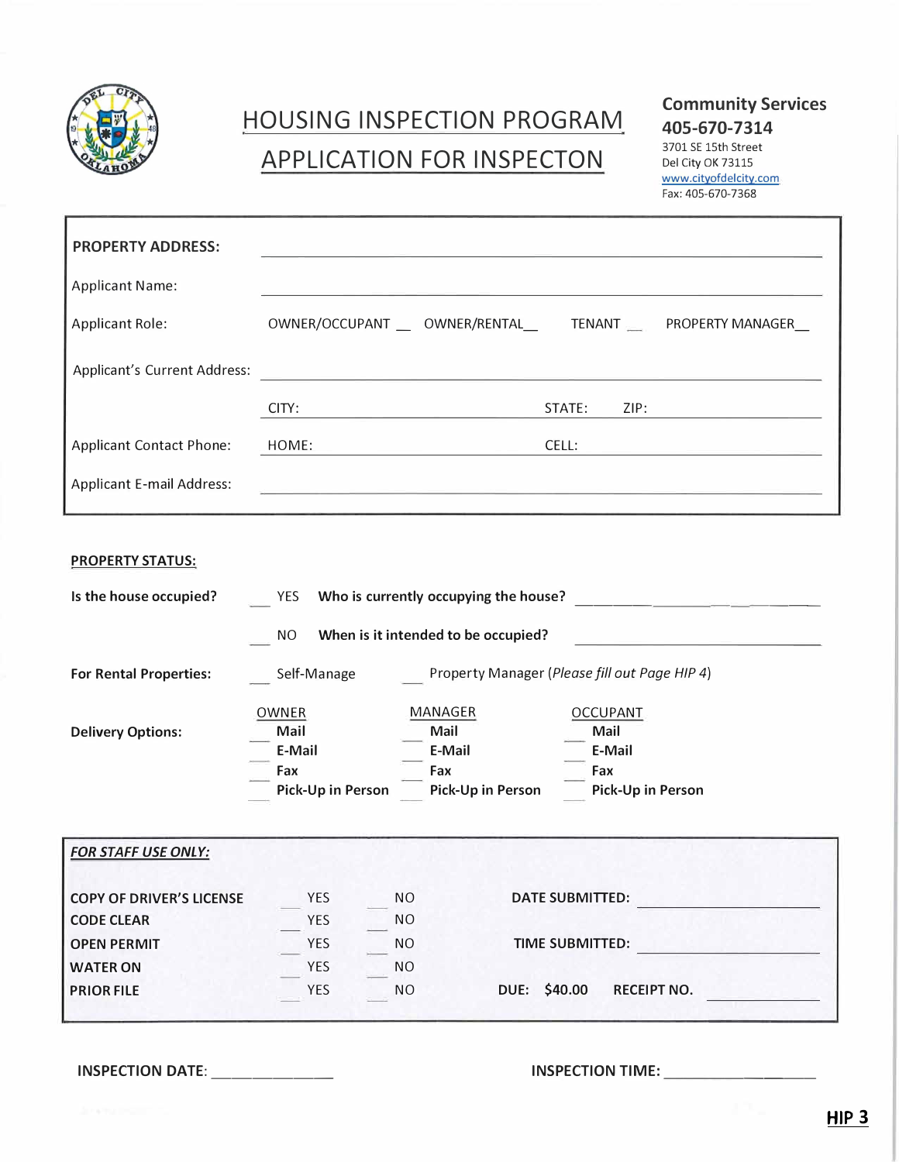

## HOUSING INSPECTION PROGRAM APPLICATION FOR INSPECTON

**Community Services 405-670-7314**

3701 SE 15th Street Del City OK 73115 www.cityofdelcity.com

Fax: 405-670-7368

| <b>PROPERTY ADDRESS:</b>         |                                                             |        |      |  |
|----------------------------------|-------------------------------------------------------------|--------|------|--|
| <b>Applicant Name:</b>           |                                                             |        |      |  |
| <b>Applicant Role:</b>           | OWNER/OCCUPANT __ OWNER/RENTAL__ TENANT __ PROPERTY MANAGER |        |      |  |
| Applicant's Current Address:     |                                                             |        |      |  |
|                                  | CITY:                                                       | STATE: | ZIP: |  |
| <b>Applicant Contact Phone:</b>  | HOME:                                                       | CELL:  |      |  |
| <b>Applicant E-mail Address:</b> |                                                             |        |      |  |

| <b>PROPERTY STATUS:</b> |  |
|-------------------------|--|
|                         |  |

| Is the house occupied?          | Who is currently occupying the house?<br>YES                 |                                  |                                     |                                                               |
|---------------------------------|--------------------------------------------------------------|----------------------------------|-------------------------------------|---------------------------------------------------------------|
|                                 | <b>NO</b>                                                    |                                  | When is it intended to be occupied? |                                                               |
| <b>For Rental Properties:</b>   | Property Manager (Please fill out Page HIP 4)<br>Self-Manage |                                  |                                     |                                                               |
| <b>Delivery Options:</b>        | OWNER<br>Mail<br>E-Mail<br>Fax<br>Pick-Up in Person          | MANAGER<br>Mail<br>E-Mail<br>Fax | Pick-Up in Person                   | <b>OCCUPANT</b><br>Mail<br>E-Mail<br>Fax<br>Pick-Up in Person |
| <b>FOR STAFF USE ONLY:</b>      |                                                              |                                  |                                     |                                                               |
| <b>COPY OF DRIVER'S LICENSE</b> | <b>YES</b>                                                   | NO.                              | <b>DATE SUBMITTED:</b>              |                                                               |
| <b>CODE CLEAR</b>               | YES                                                          | <b>NO</b>                        |                                     |                                                               |
| <b>OPEN PERMIT</b>              | <b>YES</b>                                                   | <b>NO</b>                        | <b>TIME SUBMITTED:</b>              |                                                               |
| <b>WATER ON</b>                 | <b>YES</b>                                                   | NO.                              |                                     |                                                               |
| <b>PRIOR FILE</b>               | <b>YES</b>                                                   | <b>NO</b>                        | DUE: \$40.00                        | <b>RECEIPT NO.</b>                                            |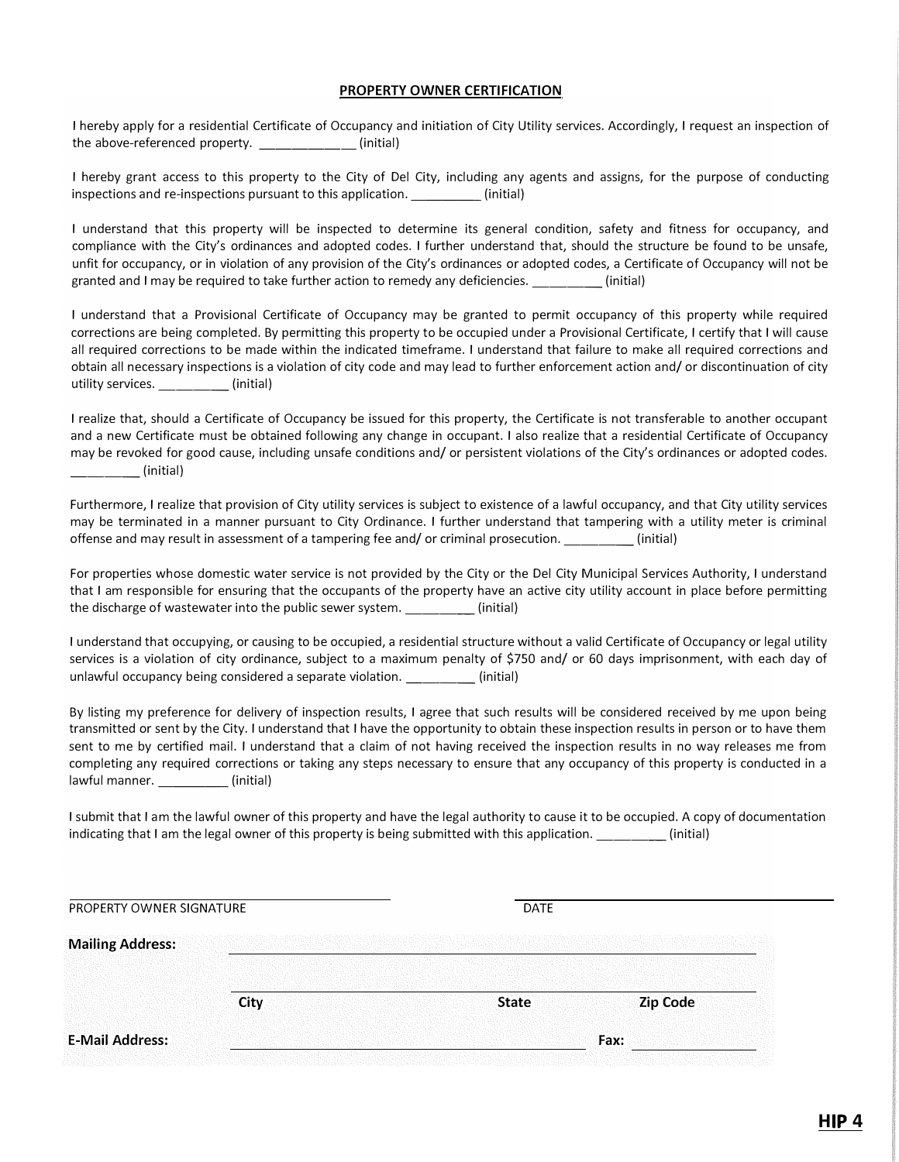#### **PROPERTY OWNER CERTIFICATION**

I hereby apply for a residential Certificate of Occupancy and initiation of City Utility services. Accordingly, I request an inspection of the above-referenced property. (initial)

I hereby grant access to this property to the City of Del City, including any agents and assigns, for the purpose of conducting inspections and re-inspections pursuant to this application. \_\_\_\_\_\_\_\_\_\_(initial)

I understand that this property will be inspected to determine its general condition, safety and fitness for occupancy, and compliance with the City's ordinances and adopted codes. I further understand that, should the structure be found to be unsafe, unfit for occupancy, or in violation of any provision of the City's ordinances or adopted codes, a Certificate of Occupancy will not be granted and I may be required to take further action to remedy any deficiencies. \_\_\_\_\_\_\_\_\_(initial)

I understand that a Provisional Certificate of Occupancy may be granted to permit occupancy of this property while required corrections are being completed. By permitting this property to be occupied under a Provisional Certificate, I certify that I will cause all required corrections to be made within the indicated timeframe. I understand that failure to make all required corrections and obtain all necessary inspections is a violation of city code and may lead to further enforcement action and/ or discontinuation of city utility services. **Example 1** (initial)

I realize that, should a Certificate of Occupancy be issued for this property, the Certificate is not transferable to another occupant and a new Certificate must be obtained following any change in occupant. I also realize that a residential Certificate of Occupancy may be revoked for good cause, including unsafe conditions and/ or persistent violations of the City's ordinances or adopted codes. \_\_\_\_ (initial)

Furthermore, I realize that provision of City utility services is subject to existence of a lawful occupancy, and that City utility services may be terminated in a manner pursuant to City Ordinance. I further understand that tampering with a utility meter is criminal offense and may result in assessment of a tampering fee and/ or criminal prosecution. \_\_\_\_ (initial)

For properties whose domestic water service is not provided by the City or the Del City Municipal Services Authority, I understand that I am responsible for ensuring that the occupants of the property have an active city utility account in place before permitting the discharge of wastewater into the public sewer system.  $\qquad \qquad$  (initial)

I understand that occupying, or causing to be occupied, a residential structure without a valid Certificate of Occupancy or legal utility services is a violation of city ordinance, subject to a maximum penalty of \$750 and/ or 60 days imprisonment, with each day of unlawful occupancy being considered a separate violation. \_\_\_\_\_\_\_\_\_(initial)

By listing my preference for delivery of inspection results, I agree that such results will be considered received by me upon being transmitted or sent by the City. I understand that I have the opportunity to obtain these inspection results in person or to have them sent to me by certified mail. I understand that a claim of not having received the inspection results in no way releases me from completing any required corrections or taking any steps necessary to ensure that any occupancy of this property is conducted in a lawful manner. **Example 1** (initial)

I submit that I am the lawful owner of this property and have the legal authority to cause it to be occupied. A copy of documentation indicating that I am the legal owner of this property is being submitted with this application. \_\_\_\_\_ (initial)

| PROPERTY OWNER SIGNATURE |             | <b>DATE</b>  |                 |
|--------------------------|-------------|--------------|-----------------|
| <b>Mailing Address:</b>  |             |              |                 |
|                          | <b>City</b> | <b>State</b> | <b>Zip Code</b> |
| <b>E-Mail Address:</b>   |             |              | Fax:            |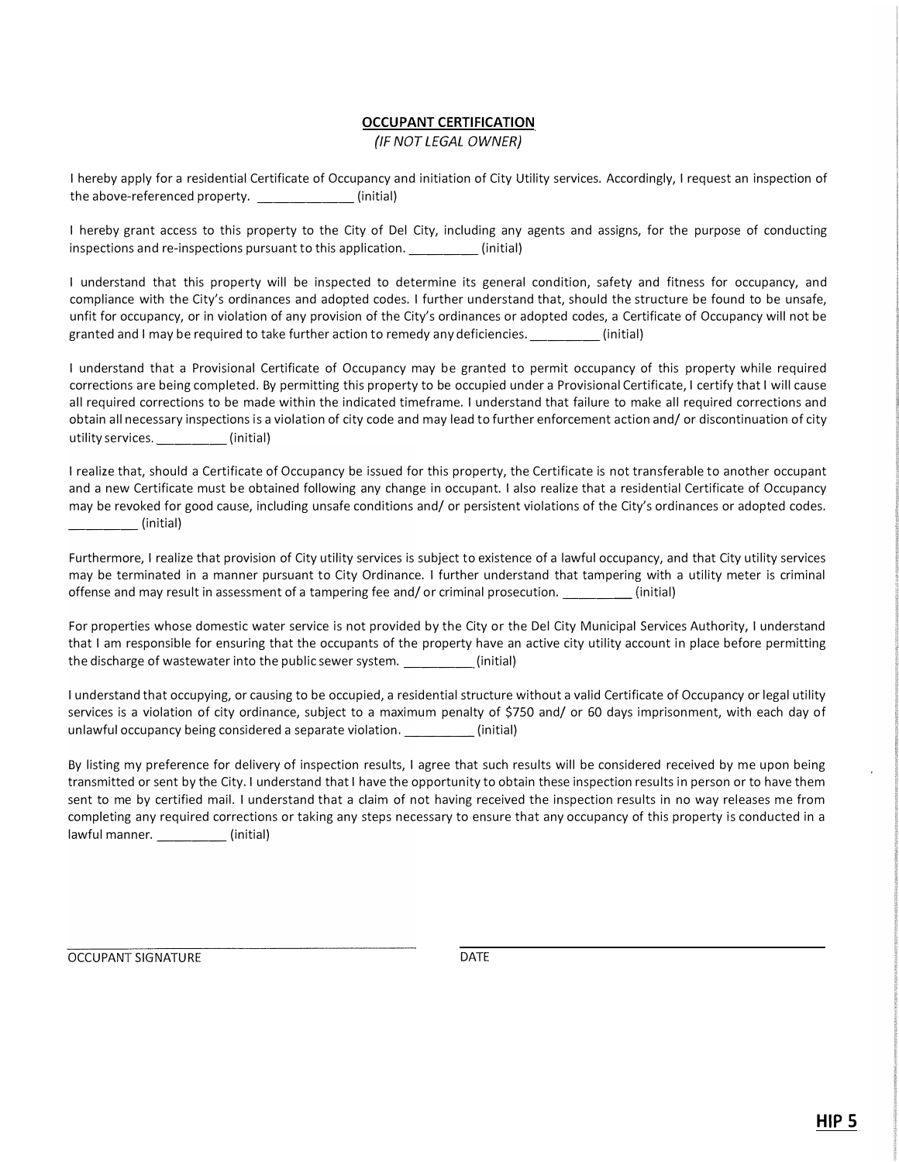## **OCCUPANT CERTIFICATION**

*{IF NOT LEGAL OWNER)* 

I hereby apply for a residential Certificate of Occupancy and initiation of City Utility services. Accordingly, I request an inspection of the above-referenced property.  $\qquad \qquad$  (initial)

I hereby grant access to this property to the City of Del City, including any agents and assigns, for the purpose of conducting inspections and re-inspections pursuant to this application. \_\_\_\_\_\_\_\_(initial)

I understand that this property will be inspected to determine its general condition, safety and fitness for occupancy, and compliance with the City's ordinances and adopted codes. I further understand that, should the structure be found to be unsafe, unfit for occupancy, or in violation of any provision of the City's ordinances or adopted codes, a Certificate of Occupancy will not be granted and I may be required to take further action to remedy any deficiencies. \_\_\_\_ (initial)

I understand that a Provisional Certificate of Occupancy may be granted to permit occupancy of this property while required corrections are being completed. By permitting this property to be occupied under a Provisional Certificate, I certify that I will cause all required corrections to be made within the indicated timeframe. I understand that failure to make all required corrections and obtain all necessary inspections is a violation of city code and may lead to further enforcement action and/ or discontinuation of city utility services. \_\_\_\_\_\_\_\_(initial)

I realize that, should a Certificate of Occupancy be issued for this property, the Certificate is not transferable to another occupant and a new Certificate must be obtained following any change in occupant. I also realize that a residential Certificate of Occupancy may be revoked for good cause, including unsafe conditions and/ or persistent violations of the City's ordinances or adopted codes. \_\_\_\_ (initial)

Furthermore, I realize that provision of City utility services is subject to existence of a lawful occupancy, and that City utility services may be terminated in a manner pursuant to City Ordinance. I further understand that tampering with a utility meter is criminal offense and may result in assessment of a tampering fee and/ or criminal prosecution. \_\_\_\_ {initial)

For properties whose domestic water service is not provided by the City or the Del City Municipal Services Authority, I understand that I am responsible for ensuring that the occupants of the property have an active city utility account in place before permitting the discharge of wastewater into the public sewer system. \_\_\_\_\_\_\_\_(initial)

I understand that occupying, or causing to be occupied, a residential structure without a valid Certificate of Occupancy or legal utility services is a violation of city ordinance, subject to a maximum penalty of \$750 and/ or 60 days imprisonment, with each day of unlawful occupancy being considered a separate violation. \_\_\_\_\_\_\_\_\_\_(initial)

By listing my preference for delivery of inspection results, I agree that such results will be considered received by me upon being transmitted or sent by the City. I understand that I have the opportunity to obtain these inspection results in person or to have them sent to me by certified mail. I understand that a claim of not having received the inspection results in no way releases me from completing any required corrections or taking any steps necessary to ensure that any occupancy of this property is conducted in a lawful manner. \_\_\_\_\_\_\_\_\_\_\_\_(initial)

OCCUPANT SIGNATURE DATE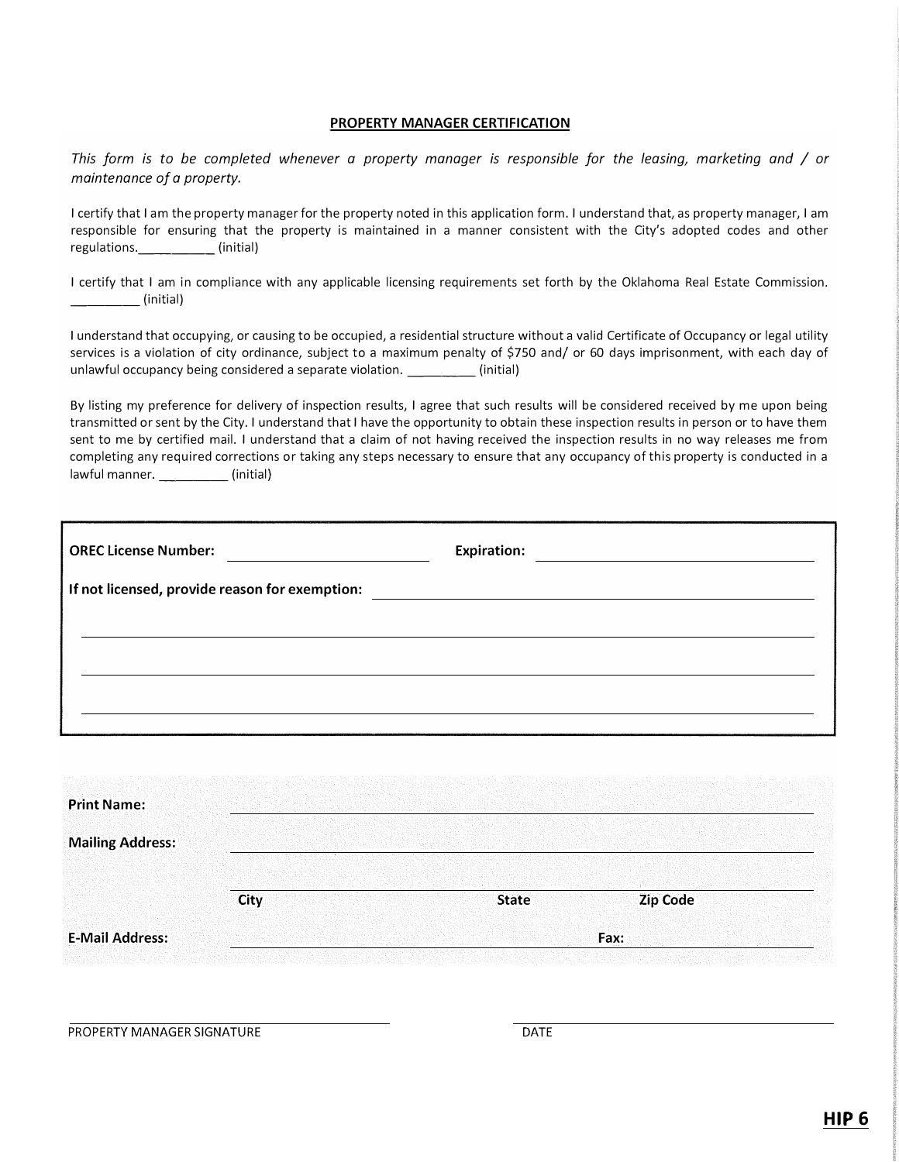#### **PROPERTY MANAGER CERTIFICATION**

*This form is to be completed whenever a property manager is responsible for the leasing/ marketing and* / *or maintenance of a property.* 

I certify that I am the property manager for the property noted in this application form. I understand that, as property manager, I am responsible for ensuring that the property is maintained in a manner consistent with the City's adopted codes and other regulations. \_\_\_\_\_\_\_\_(initial)

I certify that I am in compliance with any applicable licensing requirements set forth by the Oklahoma Real Estate Commission. \_\_\_\_ (initial)

I understand that occupying, or causing to be occupied, a residential structure without a valid Certificate of Occupancy or legal utility services is a violation of city ordinance, subject to a maximum penalty of \$750 and/ or 60 days imprisonment, with each day of unlawful occupancy being considered a separate violation. \_\_\_\_\_\_ (initial)

By listing my preference for delivery of inspection results, I agree that such results will be considered received by me upon being transmitted or sent by the City. I understand that I have the opportunity to obtain these inspection results in person or to have them sent to me by certified mail. I understand that a claim of not having received the inspection results in no way releases me from completing any required corrections or taking any steps necessary to ensure that any occupancy of this property is conducted in a lawful manner. \_\_\_\_\_\_\_\_(initial)

| <b>OREC License Number:</b><br><u> 1989 - Andrea Barbara, poeta espainiar político e a propia de la propia de la propia de la propia de la propia</u> |  |
|-------------------------------------------------------------------------------------------------------------------------------------------------------|--|
|                                                                                                                                                       |  |
|                                                                                                                                                       |  |
|                                                                                                                                                       |  |
|                                                                                                                                                       |  |

| <b>Print Name:</b>      |             |              |          |
|-------------------------|-------------|--------------|----------|
| <b>Mailing Address:</b> |             |              |          |
|                         | <b>City</b> | <b>State</b> | Zip Code |
| <b>E-Mail Address:</b>  |             |              | Fax:     |

PROPERTY MANAGER SIGNATURE **Example 20 and 20 and 20 and 20 and 20 and 20 and 20 and 20 and 20 and 20 and 20 and 20 and 20 and 20 and 20 and 20 and 20 and 20 and 20 and 20 and 20 and 20 and 20 and 20 and 20 and 20 and 20 a**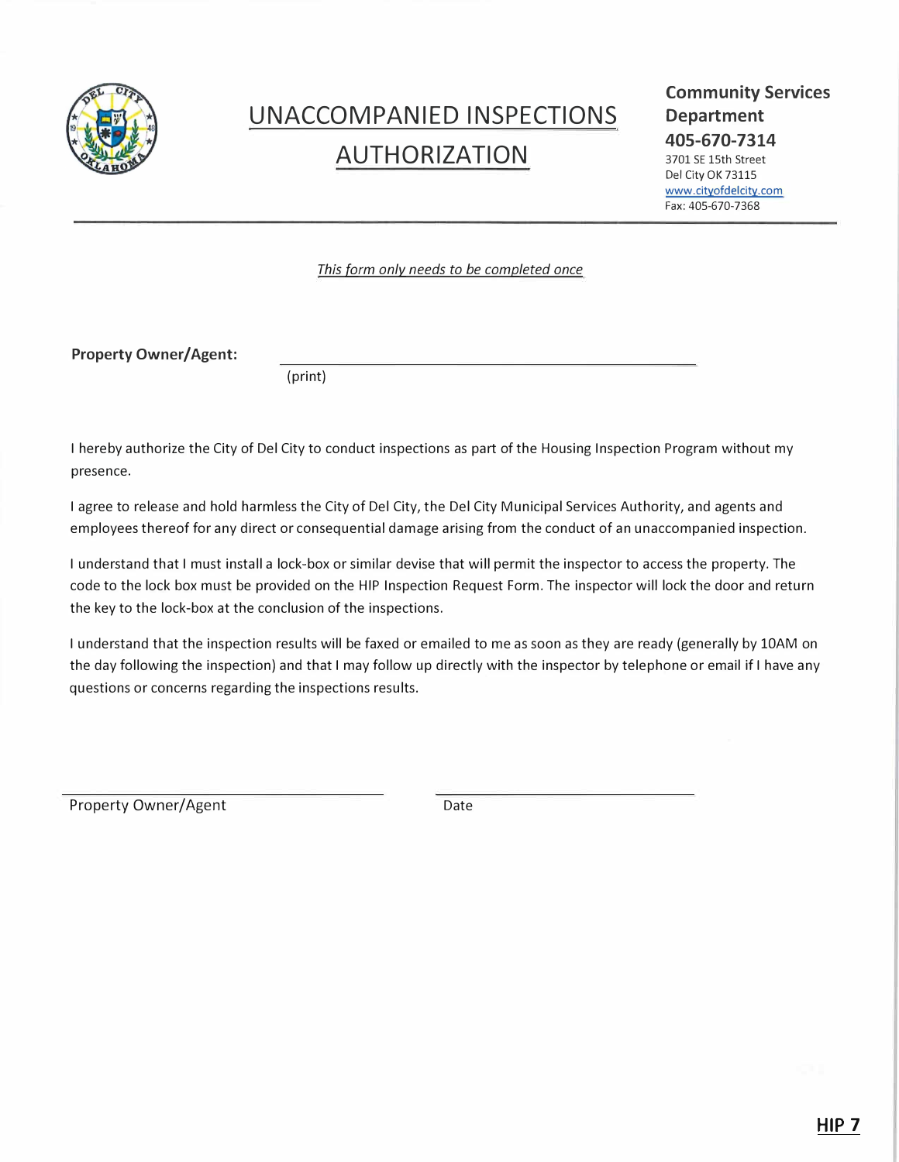

## **UNACCOMPANIED INSPECTIONS AUTHORIZATION**

#### **Community Services Department 405-670-7314**

3701 SE 15th Street Del City OK 73115 www.cityofdelcity.com Fax:405-670-7368

*This form only needs to be completed once* 

**Property Owner/Agent:** 

(print)

I hereby authorize the City of Del City to conduct inspections as part of the Housing Inspection Program without my presence.

I agree to release and hold harmless the City of Del City, the Del City Municipal Services Authority, and agents and employees thereof for any direct or consequential damage arising from the conduct of an unaccompanied inspection.

I understand that I must install a lock-box or similar devise that will permit the inspector to access the property. The code to the lock box must be provided on the HIP Inspection Request Form. The inspector will lock the door and return the key to the lock-box at the conclusion of the inspections.

I understand that the inspection results will be faxed or emailed to me as soon as they are ready (generally by 10AM on the day following the inspection) and that I may follow up directly with the inspector by telephone or email if I have any questions or concerns regarding the inspections results.

Property Owner/Agent Date